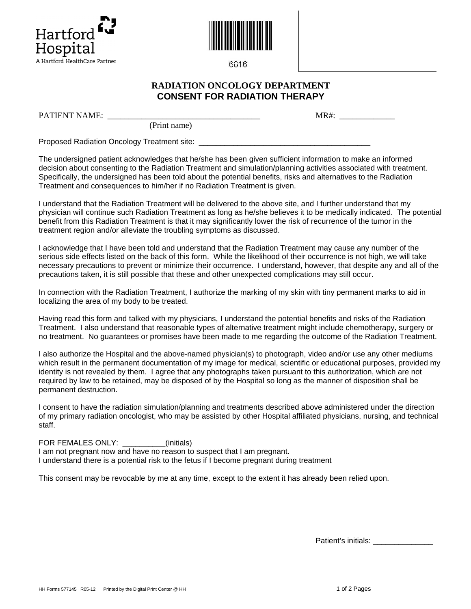



6816

## **RADIATION ONCOLOGY DEPARTMENT CONSENT FOR RADIATION THERAPY**

PATIENT NAME: \_\_\_\_\_\_\_\_\_\_\_\_\_\_\_\_\_\_\_\_\_\_\_\_\_\_\_\_\_\_\_\_\_\_\_\_ MR#: \_\_\_\_\_\_\_\_\_\_\_\_\_

(Print name)

Proposed Radiation Oncology Treatment site: \_\_\_\_\_\_\_\_\_\_\_\_\_\_\_\_\_\_\_\_\_\_\_\_\_\_\_\_\_\_\_\_\_\_\_\_\_\_\_\_

The undersigned patient acknowledges that he/she has been given sufficient information to make an informed decision about consenting to the Radiation Treatment and simulation/planning activities associated with treatment. Specifically, the undersigned has been told about the potential benefits, risks and alternatives to the Radiation Treatment and consequences to him/her if no Radiation Treatment is given.

I understand that the Radiation Treatment will be delivered to the above site, and I further understand that my physician will continue such Radiation Treatment as long as he/she believes it to be medically indicated. The potential benefit from this Radiation Treatment is that it may significantly lower the risk of recurrence of the tumor in the treatment region and/or alleviate the troubling symptoms as discussed.

I acknowledge that I have been told and understand that the Radiation Treatment may cause any number of the serious side effects listed on the back of this form. While the likelihood of their occurrence is not high, we will take necessary precautions to prevent or minimize their occurrence. I understand, however, that despite any and all of the precautions taken, it is still possible that these and other unexpected complications may still occur.

In connection with the Radiation Treatment, I authorize the marking of my skin with tiny permanent marks to aid in localizing the area of my body to be treated.

Having read this form and talked with my physicians, I understand the potential benefits and risks of the Radiation Treatment. I also understand that reasonable types of alternative treatment might include chemotherapy, surgery or no treatment. No guarantees or promises have been made to me regarding the outcome of the Radiation Treatment.

I also authorize the Hospital and the above-named physician(s) to photograph, video and/or use any other mediums which result in the permanent documentation of my image for medical, scientific or educational purposes, provided my identity is not revealed by them. I agree that any photographs taken pursuant to this authorization, which are not required by law to be retained, may be disposed of by the Hospital so long as the manner of disposition shall be permanent destruction.

I consent to have the radiation simulation/planning and treatments described above administered under the direction of my primary radiation oncologist, who may be assisted by other Hospital affiliated physicians, nursing, and technical staff.

FOR FEMALES ONLY: \_\_\_\_\_\_\_\_\_\_(initials)

I am not pregnant now and have no reason to suspect that I am pregnant. I understand there is a potential risk to the fetus if I become pregnant during treatment

This consent may be revocable by me at any time, except to the extent it has already been relied upon.

Patient's initials: \_\_\_\_\_\_\_\_\_\_\_\_\_\_\_